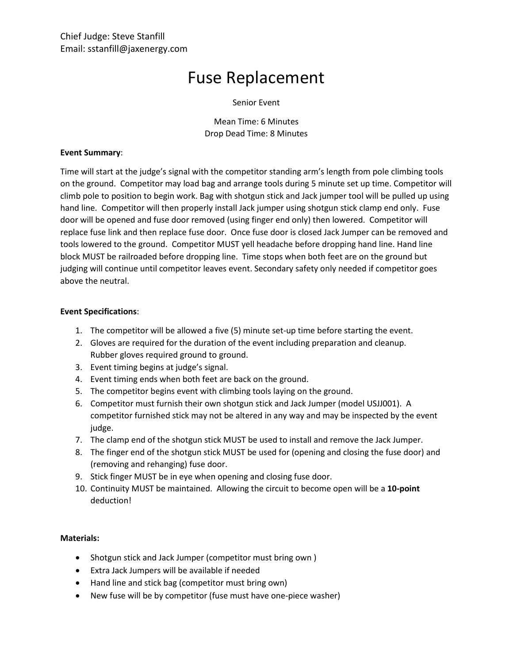# Fuse Replacement

## Senior Event

Mean Time: 6 Minutes Drop Dead Time: 8 Minutes

#### **Event Summary**:

Time will start at the judge's signal with the competitor standing arm's length from pole climbing tools on the ground. Competitor may load bag and arrange tools during 5 minute set up time. Competitor will climb pole to position to begin work. Bag with shotgun stick and Jack jumper tool will be pulled up using hand line. Competitor will then properly install Jack jumper using shotgun stick clamp end only. Fuse door will be opened and fuse door removed (using finger end only) then lowered. Competitor will replace fuse link and then replace fuse door. Once fuse door is closed Jack Jumper can be removed and tools lowered to the ground. Competitor MUST yell headache before dropping hand line. Hand line block MUST be railroaded before dropping line. Time stops when both feet are on the ground but judging will continue until competitor leaves event. Secondary safety only needed if competitor goes above the neutral.

## **Event Specifications**:

- 1. The competitor will be allowed a five (5) minute set-up time before starting the event.
- 2. Gloves are required for the duration of the event including preparation and cleanup. Rubber gloves required ground to ground.
- 3. Event timing begins at judge's signal.
- 4. Event timing ends when both feet are back on the ground.
- 5. The competitor begins event with climbing tools laying on the ground.
- 6. Competitor must furnish their own shotgun stick and Jack Jumper (model USJJ001). A competitor furnished stick may not be altered in any way and may be inspected by the event judge.
- 7. The clamp end of the shotgun stick MUST be used to install and remove the Jack Jumper.
- 8. The finger end of the shotgun stick MUST be used for (opening and closing the fuse door) and (removing and rehanging) fuse door.
- 9. Stick finger MUST be in eye when opening and closing fuse door.
- 10. Continuity MUST be maintained. Allowing the circuit to become open will be a **10-point** deduction!

# **Materials:**

- Shotgun stick and Jack Jumper (competitor must bring own )
- Extra Jack Jumpers will be available if needed
- Hand line and stick bag (competitor must bring own)
- New fuse will be by competitor (fuse must have one-piece washer)